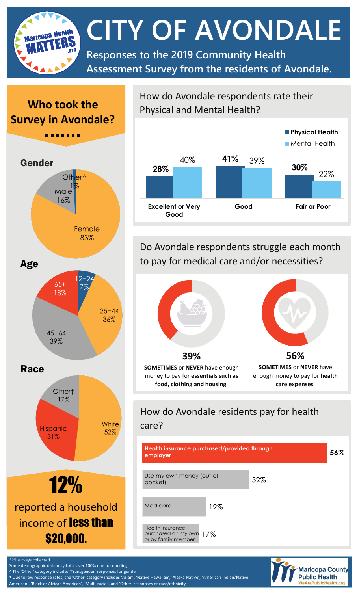**CITY OF AVONDALE Maricopa Health Responses to the 2019 Community Health Assessment Survey from the residents of Avondale.**

# **Who took the Survey in Avondale?**



How do Avondale respondents rate their Physical and Mental Health?



Do Avondale respondents struggle each month to pay for medical care and/or necessities?



### How do Avondale residents pay for health care?

| Health insurance purchased/provided through<br>employer                   |     | 56% |
|---------------------------------------------------------------------------|-----|-----|
| Use my own money (out of<br>pocket)                                       | 32% |     |
| Medicare<br>19%                                                           |     |     |
| <b>Health insurance</b><br>purchased on my own 17%<br>or by family member |     |     |



325 surveys collected. Some demographic data may total over 100% due to rounding.

The 'Other' category includes 'Transgender' responses for gender.

† Due to low response rates, the 'Other' category includes 'Asian', 'Native Hawaiian', 'Alaska Native', 'American Indian/Native

American', 'Black or African American', 'Multi-racial', and 'Other' responses or race/ethnicity.